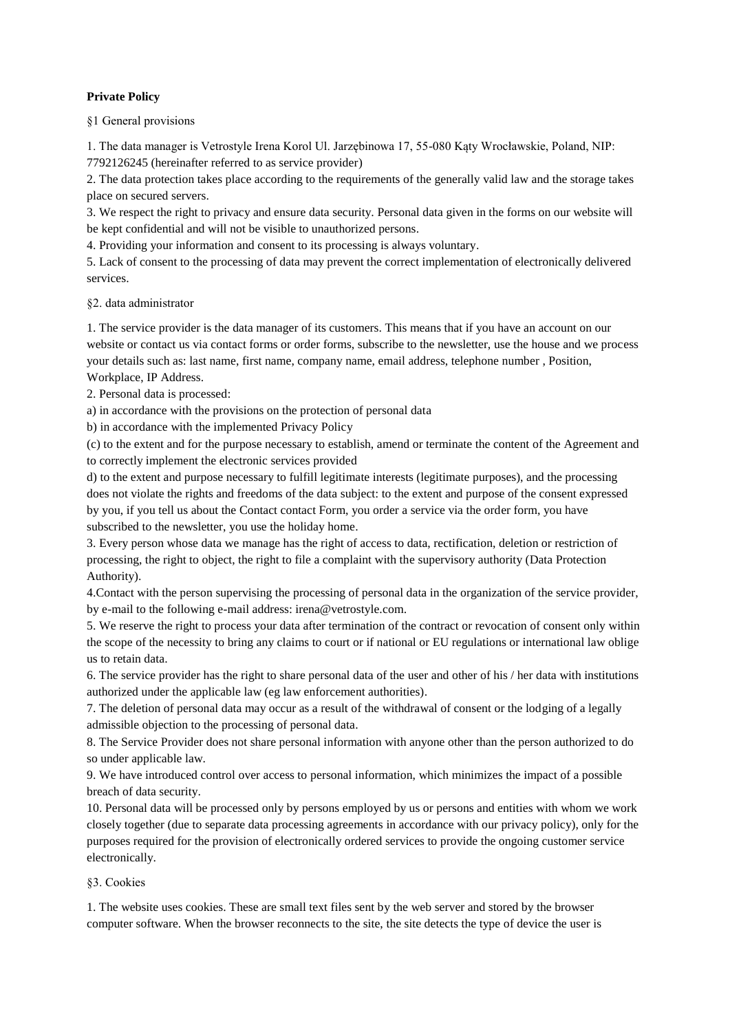## **Private Policy**

§1 General provisions

1. The data manager is Vetrostyle Irena Korol Ul. Jarzębinowa 17, 55-080 Kąty Wrocławskie, Poland, NIP: 7792126245 (hereinafter referred to as service provider)

2. The data protection takes place according to the requirements of the generally valid law and the storage takes place on secured servers.

3. We respect the right to privacy and ensure data security. Personal data given in the forms on our website will be kept confidential and will not be visible to unauthorized persons.

4. Providing your information and consent to its processing is always voluntary.

5. Lack of consent to the processing of data may prevent the correct implementation of electronically delivered services.

§2. data administrator

1. The service provider is the data manager of its customers. This means that if you have an account on our website or contact us via contact forms or order forms, subscribe to the newsletter, use the house and we process your details such as: last name, first name, company name, email address, telephone number , Position, Workplace, IP Address.

2. Personal data is processed:

a) in accordance with the provisions on the protection of personal data

b) in accordance with the implemented Privacy Policy

(c) to the extent and for the purpose necessary to establish, amend or terminate the content of the Agreement and to correctly implement the electronic services provided

d) to the extent and purpose necessary to fulfill legitimate interests (legitimate purposes), and the processing does not violate the rights and freedoms of the data subject: to the extent and purpose of the consent expressed by you, if you tell us about the Contact contact Form, you order a service via the order form, you have subscribed to the newsletter, you use the holiday home.

3. Every person whose data we manage has the right of access to data, rectification, deletion or restriction of processing, the right to object, the right to file a complaint with the supervisory authority (Data Protection Authority).

4.Contact with the person supervising the processing of personal data in the organization of the service provider, by e-mail to the following e-mail address: irena@vetrostyle.com.

5. We reserve the right to process your data after termination of the contract or revocation of consent only within the scope of the necessity to bring any claims to court or if national or EU regulations or international law oblige us to retain data.

6. The service provider has the right to share personal data of the user and other of his / her data with institutions authorized under the applicable law (eg law enforcement authorities).

7. The deletion of personal data may occur as a result of the withdrawal of consent or the lodging of a legally admissible objection to the processing of personal data.

8. The Service Provider does not share personal information with anyone other than the person authorized to do so under applicable law.

9. We have introduced control over access to personal information, which minimizes the impact of a possible breach of data security.

10. Personal data will be processed only by persons employed by us or persons and entities with whom we work closely together (due to separate data processing agreements in accordance with our privacy policy), only for the purposes required for the provision of electronically ordered services to provide the ongoing customer service electronically.

## §3. Cookies

1. The website uses cookies. These are small text files sent by the web server and stored by the browser computer software. When the browser reconnects to the site, the site detects the type of device the user is